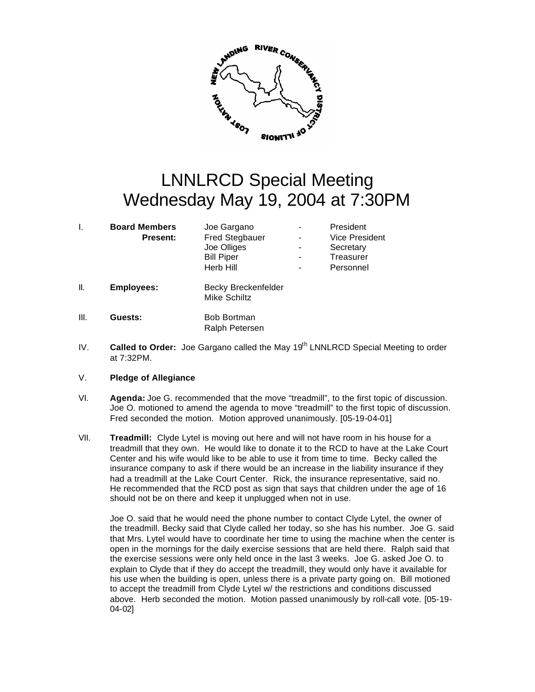

# LNNLRCD Special Meeting Wednesday May 19, 2004 at 7:30PM

|      | <b>Board Members</b><br><b>Present:</b> | Joe Gargano<br><b>Fred Stegbauer</b><br>Joe Olliges<br><b>Bill Piper</b><br>Herb Hill | President<br><b>Vice President</b><br>Secretary<br>Treasurer<br>Personnel |
|------|-----------------------------------------|---------------------------------------------------------------------------------------|---------------------------------------------------------------------------|
| II.  | <b>Employees:</b>                       | <b>Becky Breckenfelder</b><br>Mike Schiltz                                            |                                                                           |
| III. | Guests:                                 | <b>Bob Bortman</b><br>Ralph Petersen                                                  |                                                                           |

IV. **Called to Order:** Joe Gargano called the May 19<sup>th</sup> LNNLRCD Special Meeting to order at 7:32PM.

### V. **Pledge of Allegiance**

- VI. **Agenda:** Joe G. recommended that the move "treadmill", to the first topic of discussion. Joe O. motioned to amend the agenda to move "treadmill" to the first topic of discussion. Fred seconded the motion. Motion approved unanimously. [05-19-04-01]
- VII. **Treadmill:** Clyde Lytel is moving out here and will not have room in his house for a treadmill that they own. He would like to donate it to the RCD to have at the Lake Court Center and his wife would like to be able to use it from time to time. Becky called the insurance company to ask if there would be an increase in the liability insurance if they had a treadmill at the Lake Court Center. Rick, the insurance representative, said no. He recommended that the RCD post as sign that says that children under the age of 16 should not be on there and keep it unplugged when not in use.

Joe O. said that he would need the phone number to contact Clyde Lytel, the owner of the treadmill. Becky said that Clyde called her today, so she has his number. Joe G. said that Mrs. Lytel would have to coordinate her time to using the machine when the center is open in the mornings for the daily exercise sessions that are held there. Ralph said that the exercise sessions were only held once in the last 3 weeks. Joe G. asked Joe O. to explain to Clyde that if they do accept the treadmill, they would only have it available for his use when the building is open, unless there is a private party going on. Bill motioned to accept the treadmill from Clyde Lytel w/ the restrictions and conditions discussed above. Herb seconded the motion. Motion passed unanimously by roll-call vote. [05-19- 04-02]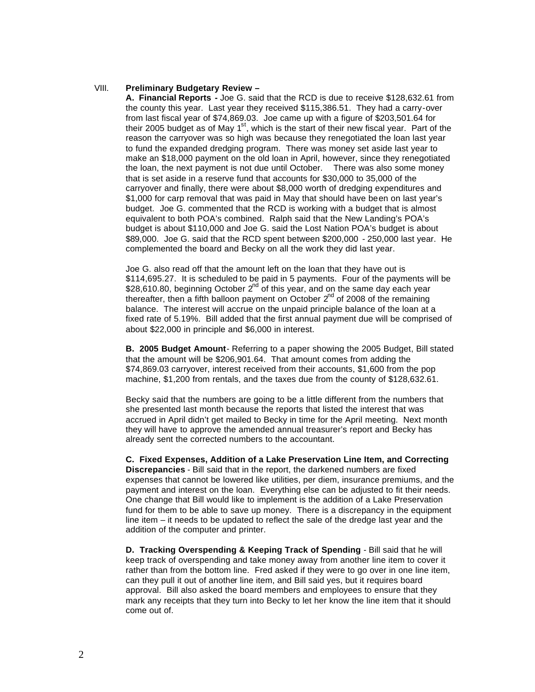### VIII. **Preliminary Budgetary Review –**

**A. Financial Reports -** Joe G. said that the RCD is due to receive \$128,632.61 from the county this year. Last year they received \$115,386.51. They had a carry-over from last fiscal year of \$74,869.03. Joe came up with a figure of \$203,501.64 for their 2005 budget as of May  $1<sup>st</sup>$ , which is the start of their new fiscal year. Part of the reason the carryover was so high was because they renegotiated the loan last year to fund the expanded dredging program. There was money set aside last year to make an \$18,000 payment on the old loan in April, however, since they renegotiated the loan, the next payment is not due until October. There was also some money that is set aside in a reserve fund that accounts for \$30,000 to 35,000 of the carryover and finally, there were about \$8,000 worth of dredging expenditures and \$1,000 for carp removal that was paid in May that should have been on last year's budget. Joe G. commented that the RCD is working with a budget that is almost equivalent to both POA's combined. Ralph said that the New Landing's POA's budget is about \$110,000 and Joe G. said the Lost Nation POA's budget is about \$89,000. Joe G. said that the RCD spent between \$200,000 - 250,000 last year. He complemented the board and Becky on all the work they did last year.

Joe G. also read off that the amount left on the loan that they have out is \$114,695.27. It is scheduled to be paid in 5 payments. Four of the payments will be \$28,610.80, beginning October 2<sup>nd</sup> of this year, and on the same day each year thereafter, then a fifth balloon payment on October  $2^{nd}$  of 2008 of the remaining balance. The interest will accrue on the unpaid principle balance of the loan at a fixed rate of 5.19%. Bill added that the first annual payment due will be comprised of about \$22,000 in principle and \$6,000 in interest.

**B. 2005 Budget Amount**- Referring to a paper showing the 2005 Budget, Bill stated that the amount will be \$206,901.64. That amount comes from adding the \$74,869.03 carryover, interest received from their accounts, \$1,600 from the pop machine, \$1,200 from rentals, and the taxes due from the county of \$128,632.61.

Becky said that the numbers are going to be a little different from the numbers that she presented last month because the reports that listed the interest that was accrued in April didn't get mailed to Becky in time for the April meeting. Next month they will have to approve the amended annual treasurer's report and Becky has already sent the corrected numbers to the accountant.

**C. Fixed Expenses, Addition of a Lake Preservation Line Item, and Correcting Discrepancies** - Bill said that in the report, the darkened numbers are fixed expenses that cannot be lowered like utilities, per diem, insurance premiums, and the payment and interest on the loan. Everything else can be adjusted to fit their needs. One change that Bill would like to implement is the addition of a Lake Preservation fund for them to be able to save up money. There is a discrepancy in the equipment line item – it needs to be updated to reflect the sale of the dredge last year and the addition of the computer and printer.

**D. Tracking Overspending & Keeping Track of Spending** - Bill said that he will keep track of overspending and take money away from another line item to cover it rather than from the bottom line. Fred asked if they were to go over in one line item, can they pull it out of another line item, and Bill said yes, but it requires board approval. Bill also asked the board members and employees to ensure that they mark any receipts that they turn into Becky to let her know the line item that it should come out of.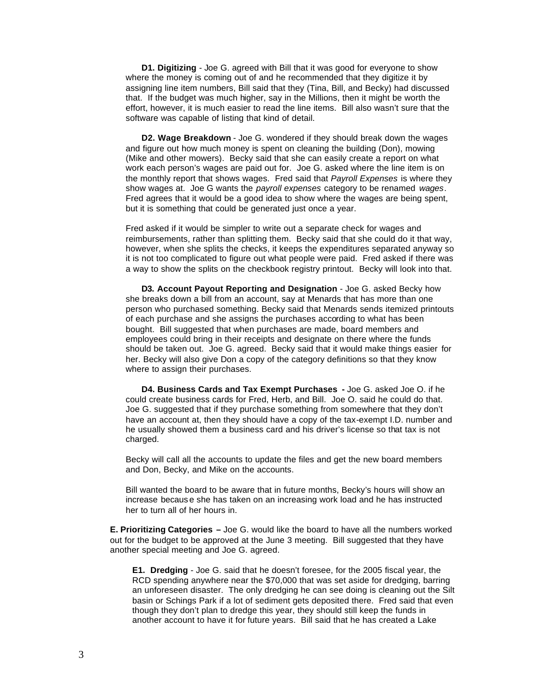**D1. Digitizing** - Joe G. agreed with Bill that it was good for everyone to show where the money is coming out of and he recommended that they digitize it by assigning line item numbers, Bill said that they (Tina, Bill, and Becky) had discussed that. If the budget was much higher, say in the Millions, then it might be worth the effort, however, it is much easier to read the line items. Bill also wasn't sure that the software was capable of listing that kind of detail.

**D2. Wage Breakdown** - Joe G. wondered if they should break down the wages and figure out how much money is spent on cleaning the building (Don), mowing (Mike and other mowers). Becky said that she can easily create a report on what work each person's wages are paid out for. Joe G. asked where the line item is on the monthly report that shows wages. Fred said that *Payroll Expenses* is where they show wages at. Joe G wants the *payroll expenses* category to be renamed *wages*. Fred agrees that it would be a good idea to show where the wages are being spent, but it is something that could be generated just once a year.

Fred asked if it would be simpler to write out a separate check for wages and reimbursements, rather than splitting them. Becky said that she could do it that way, however, when she splits the checks, it keeps the expenditures separated anyway so it is not too complicated to figure out what people were paid. Fred asked if there was a way to show the splits on the checkbook registry printout. Becky will look into that.

**D3. Account Payout Reporting and Designation** - Joe G. asked Becky how she breaks down a bill from an account, say at Menards that has more than one person who purchased something. Becky said that Menards sends itemized printouts of each purchase and she assigns the purchases according to what has been bought. Bill suggested that when purchases are made, board members and employees could bring in their receipts and designate on there where the funds should be taken out. Joe G. agreed. Becky said that it would make things easier for her. Becky will also give Don a copy of the category definitions so that they know where to assign their purchases.

**D4. Business Cards and Tax Exempt Purchases -** Joe G. asked Joe O. if he could create business cards for Fred, Herb, and Bill. Joe O. said he could do that. Joe G. suggested that if they purchase something from somewhere that they don't have an account at, then they should have a copy of the tax-exempt I.D. number and he usually showed them a business card and his driver's license so that tax is not charged.

Becky will call all the accounts to update the files and get the new board members and Don, Becky, and Mike on the accounts.

Bill wanted the board to be aware that in future months, Becky's hours will show an increase becaus e she has taken on an increasing work load and he has instructed her to turn all of her hours in.

**E. Prioritizing Categories –** Joe G. would like the board to have all the numbers worked out for the budget to be approved at the June 3 meeting. Bill suggested that they have another special meeting and Joe G. agreed.

**E1. Dredging** - Joe G. said that he doesn't foresee, for the 2005 fiscal year, the RCD spending anywhere near the \$70,000 that was set aside for dredging, barring an unforeseen disaster. The only dredging he can see doing is cleaning out the Silt basin or Schings Park if a lot of sediment gets deposited there. Fred said that even though they don't plan to dredge this year, they should still keep the funds in another account to have it for future years. Bill said that he has created a Lake